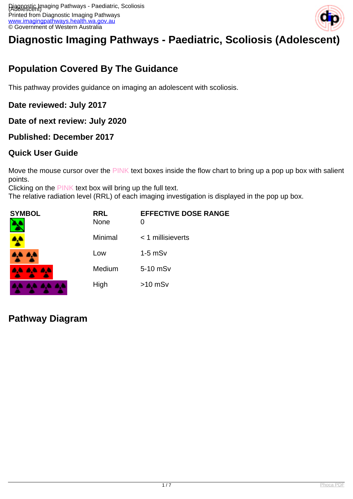

# **Diagnostic Imaging Pathways - Paediatric, Scoliosis (Adolescent)**

# **Population Covered By The Guidance**

This pathway provides guidance on imaging an adolescent with scoliosis.

#### **Date reviewed: July 2017**

**Date of next review: July 2020**

#### **Published: December 2017**

#### **Quick User Guide**

Move the mouse cursor over the PINK text boxes inside the flow chart to bring up a pop up box with salient points.

Clicking on the PINK text box will bring up the full text.

The relative radiation level (RRL) of each imaging investigation is displayed in the pop up box.

| <b>SYMBOL</b><br>٦ | <b>RRL</b><br><b>None</b> | <b>EFFECTIVE DOSE RANGE</b><br>0 |
|--------------------|---------------------------|----------------------------------|
|                    | Minimal                   | $<$ 1 millisieverts              |
| A.A. 4,4           | Low                       | $1-5$ mS $v$                     |
| <b>AA AA AA</b>    | Medium                    | 5-10 mSv                         |
| .                  | High                      | $>10$ mSv                        |

### **Pathway Diagram**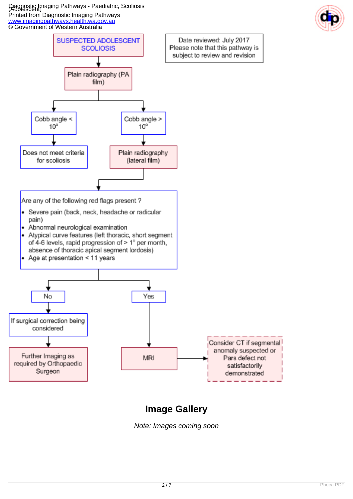Diagnostic Imaging Pathways - Paediatric, Scoliosis (Adolescent) Printed from Diagnostic Imaging Pathways

[www.imagingpathways.health.wa.gov.au](http://www.imagingpathways.health.wa.gov.au/)





# **Image Gallery**

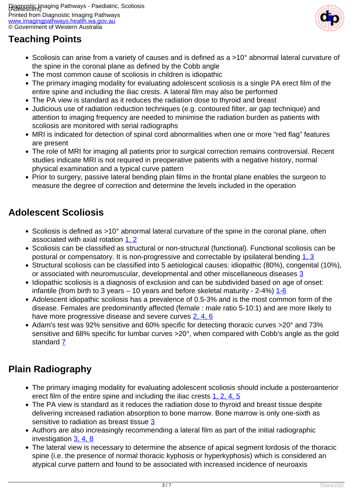

## **Teaching Points**

- Scoliosis can arise from a variety of causes and is defined as a >10° abnormal lateral curvature of the spine in the coronal plane as defined by the Cobb angle
- The most common cause of scoliosis in children is idiopathic
- The primary imaging modality for evaluating adolescent scoliosis is a single PA erect film of the entire spine and including the iliac crests. A lateral film may also be performed
- The PA view is standard as it reduces the radiation dose to thyroid and breast
- Judicious use of radiation reduction techniques (e.g. contoured filter, air gap technique) and attention to imaging frequency are needed to minimise the radiation burden as patients with scoliosis are monitored with serial radiographs
- MRI is indicated for detection of spinal cord abnormalities when one or more "red flag" features are present
- The role of MRI for imaging all patients prior to surgical correction remains controversial. Recent studies indicate MRI is not required in preoperative patients with a negative history, normal physical examination and a typical curve pattern
- Prior to surgery, passive lateral bending plain films in the frontal plane enables the surgeon to measure the degree of correction and determine the levels included in the operation

### **Adolescent Scoliosis**

- Scoliosis is defined as >10° abnormal lateral curvature of the spine in the coronal plane, often associated with axial rotation [1, 2](index.php?option=com_content&view=article&id=193&tab=References#1)
- Scoliosis can be classified as structural or non-structural (functional). Functional scoliosis can be postural or compensatory. It is non-progressive and correctable by ipsilateral bending [1, 3](index.php?option=com_content&view=article&id=193&tab=References#1)
- Structural scoliosis can be classified into 5 aetiological causes: idiopathic (80%), congenital (10%), or associated with neuromuscular, developmental and other miscellaneous diseases [3](index.php?option=com_content&view=article&id=193&tab=References#1)
- Idiopathic scoliosis is a diagnosis of exclusion and can be subdivided based on age of onset: infantile (from birth to 3 years – 10 years and before skeletal maturity -  $2-4\%$ )  $1-6$
- Adolescent idiopathic scoliosis has a prevalence of 0.5-3% and is the most common form of the disease. Females are predominantly affected (female : male ratio 5-10:1) and are more likely to have more progressive disease and severe curves [2, 4, 6](index.php?option=com_content&view=article&id=193&tab=References#1)
- Adam's test was 92% sensitive and 60% specific for detecting thoracic curves >20° and 73% sensitive and 68% specific for lumbar curves >20°, when compared with Cobb's angle as the gold standard [7](index.php?option=com_content&view=article&id=193&tab=References#1)

### **Plain Radiography**

- The primary imaging modality for evaluating adolescent scoliosis should include a posteroanterior erect film of the entire spine and including the iliac crests [1, 2, 4, 5](index.php?option=com_content&view=article&id=193&tab=References#1)
- The PA view is standard as it reduces the radiation dose to thyroid and breast tissue despite delivering increased radiation absorption to bone marrow. Bone marrow is only one-sixth as sensitive to radiation as breast tissue [3](index.php?option=com_content&view=article&id=193&tab=References#1)
- Authors are also increasingly recommending a lateral film as part of the initial radiographic investigation [3, 4, 8](index.php?option=com_content&view=article&id=193&tab=References#1)
- The lateral view is necessary to determine the absence of apical segment lordosis of the thoracic spine (i.e. the presence of normal thoracic kyphosis or hyperkyphosis) which is considered an atypical curve pattern and found to be associated with increased incidence of neuroaxis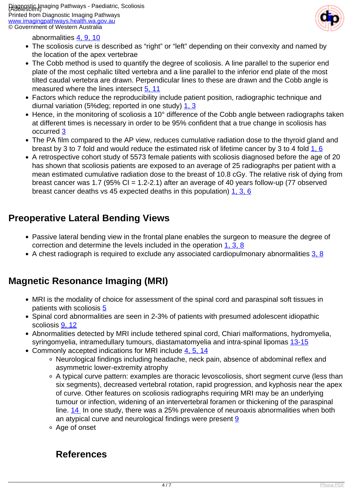

abnormalities [4, 9, 10](index.php?option=com_content&view=article&id=193&tab=References#1)

- The scoliosis curve is described as "right" or "left" depending on their convexity and named by the location of the apex vertebrae
- The Cobb method is used to quantify the degree of scoliosis. A line parallel to the superior end plate of the most cephalic tilted vertebra and a line parallel to the inferior end plate of the most tilted caudal vertebra are drawn. Perpendicular lines to these are drawn and the Cobb angle is measured where the lines intersect [5, 11](index.php?option=com_content&view=article&id=193&tab=References#1)
- Factors which reduce the reproducibility include patient position, radiographic technique and diurnal variation (5%deg; reported in one study) [1, 3](index.php?option=com_content&view=article&id=193&tab=References#1)
- Hence, in the monitoring of scoliosis a 10° difference of the Cobb angle between radiographs taken at different times is necessary in order to be 95% confident that a true change in scoliosis has occurred [3](index.php?option=com_content&view=article&id=193&tab=References#1)
- The PA film compared to the AP view, reduces cumulative radiation dose to the thyroid gland and breast by 3 to 7 fold and would reduce the estimated risk of lifetime cancer by 3 to 4 fold [1, 6](index.php?option=com_content&view=article&id=193&tab=References#1)
- A retrospective cohort study of 5573 female patients with scoliosis diagnosed before the age of 20 has shown that scoliosis patients are exposed to an average of 25 radiographs per patient with a mean estimated cumulative radiation dose to the breast of 10.8 cGy. The relative risk of dying from breast cancer was 1.7 (95% CI = 1.2-2.1) after an average of 40 years follow-up (77 observed breast cancer deaths vs 45 expected deaths in this population) [1, 3, 6](index.php?option=com_content&view=article&id=193&tab=References#1)

### **Preoperative Lateral Bending Views**

- Passive lateral bending view in the frontal plane enables the surgeon to measure the degree of correction and determine the levels included in the operation [1, 3, 8](index.php?option=com_content&view=article&id=193&tab=References#1)
- A chest radiograph is required to exclude any associated cardiopulmonary abnormalities [3, 8](index.php?option=com_content&view=article&id=193&tab=References#1)

### **Magnetic Resonance Imaging (MRI)**

- MRI is the modality of choice for assessment of the spinal cord and paraspinal soft tissues in patients with scoliosis [5](index.php?option=com_content&view=article&id=193&tab=References#1)
- Spinal cord abnormalities are seen in 2-3% of patients with presumed adolescent idiopathic scoliosis [9, 12](index.php?option=com_content&view=article&id=193&tab=References#1)
- Abnormalities detected by MRI include tethered spinal cord, Chiari malformations, hydromyelia, syringomyelia, intramedullary tumours, diastamatomyelia and intra-spinal lipomas [13-15](index.php?option=com_content&view=article&id=193&tab=References#1)
- Commonly accepted indications for MRI include [4, 5, 14](index.php?option=com_content&view=article&id=193&tab=References#1)
	- Neurological findings including headache, neck pain, absence of abdominal reflex and asymmetric lower-extremity atrophy
	- A typical curve pattern: examples are thoracic levoscoliosis, short segment curve (less than six segments), decreased vertebral rotation, rapid progression, and kyphosis near the apex of curve. Other features on scoliosis radiographs requiring MRI may be an underlying tumour or infection, widening of an intervertebral foramen or thickening of the paraspinal line. [14](index.php?option=com_content&view=article&id=193&tab=References#1) In one study, there was a 25% prevalence of neuroaxis abnormalities when both an atypical curve and neurological findings were present [9](index.php?option=com_content&view=article&id=193&tab=References#1)
	- Age of onset

### **References**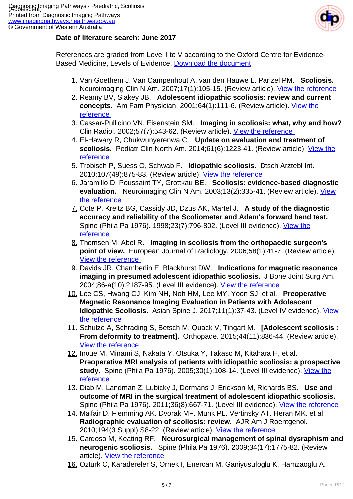

#### **Date of literature search: June 2017**

References are graded from Level I to V according to the Oxford Centre for Evidence-Based Medicine, Levels of Evidence. [Download the document](http://www.cebm.net/wp-content/uploads/2014/06/CEBM-Levels-of-Evidence-2.1.pdf)

- 1. Van Goethem J, Van Campenhout A, van den Hauwe L, Parizel PM. **Scoliosis.**  Neuroimaging Clin N Am. 2007;17(1):105-15. (Review article). View the reference
- 2. Reamy BV, Slakey JB. **Adolescent idiopathic scoliosis: review and current concepts.** Am Fam Physician. 2001;64(1):111-6. (Review article). [View the](https://www.ncbi.nlm.nih.gov/pubmed/11456428 ) [reference](https://www.ncbi.nlm.nih.gov/pubmed/11456428 )
- 3. Cassar-Pullicino VN, Eisenstein SM. **Imaging in scoliosis: what, why and how?**  Clin Radiol. 2002;57(7):543-62. (Review article). View the reference
- 4. El-Hawary R, Chukwunyerenwa C. **Update on evaluation and treatment of** scoliosis. Pediatr Clin North Am. 2014;61(6):1223-41. (Review article). [View the](https://www.ncbi.nlm.nih.gov/pubmed/25439021 ) [reference](https://www.ncbi.nlm.nih.gov/pubmed/25439021 )
- 5. Trobisch P, Suess O, Schwab F. **Idiopathic scoliosis.** Dtsch Arztebl Int. 2010;107(49):875-83. (Review article). [View the reference](https://www.ncbi.nlm.nih.gov/pubmed/21191550 )
- 6. Jaramillo D, Poussaint TY, Grottkau BE. **Scoliosis: evidence-based diagnostic evaluation.** Neuroimaging Clin N Am. 2003;13(2):335-41. (Review article). [View](https://www.ncbi.nlm.nih.gov/pubmed/13677811 ) [the reference](https://www.ncbi.nlm.nih.gov/pubmed/13677811 )
- 7. Cote P, Kreitz BG, Cassidy JD, Dzus AK, Martel J. **A study of the diagnostic accuracy and reliability of the Scoliometer and Adam's forward bend test.**  Spine (Phila Pa 1976). 1998;23(7):796-802. (Level III evidence). [View the](https://www.ncbi.nlm.nih.gov/pubmed/9563110 ) [reference](https://www.ncbi.nlm.nih.gov/pubmed/9563110 )
- 8. Thomsen M, Abel R. **Imaging in scoliosis from the orthopaedic surgeon's point of view.** European Journal of Radiology. 2006;58(1):41-7. (Review article). [View the reference](https://www.ncbi.nlm.nih.gov/labs/articles/16439089 )
- 9. Davids JR, Chamberlin E, Blackhurst DW. **Indications for magnetic resonance imaging in presumed adolescent idiopathic scoliosis.** J Bone Joint Surg Am. 2004;86-a(10):2187-95. (Level III evidence). View the reference
- 10. Lee CS, Hwang CJ, Kim NH, Noh HM, Lee MY, Yoon SJ, et al. **Preoperative Magnetic Resonance Imaging Evaluation in Patients with Adolescent Idiopathic Scoliosis.** Asian Spine J. 2017;11(1):37-43. (Level IV evidence). [View](https://www.ncbi.nlm.nih.gov/pubmed/28243367 ) [the reference](https://www.ncbi.nlm.nih.gov/pubmed/28243367 )
- 11. Schulze A, Schrading S, Betsch M, Quack V, Tingart M. **[Adolescent scoliosis : From deformity to treatment].** Orthopade. 2015;44(11):836-44. (Review article). [View the reference](https://www.ncbi.nlm.nih.gov/pubmed/26353841 )
- 12. Inoue M, Minami S, Nakata Y, Otsuka Y, Takaso M, Kitahara H, et al. **Preoperative MRI analysis of patients with idiopathic scoliosis: a prospective study.** Spine (Phila Pa 1976). 2005;30(1):108-14. (Level III evidence). [View the](https://www.ncbi.nlm.nih.gov/pubmed/15626990 ) [reference](https://www.ncbi.nlm.nih.gov/pubmed/15626990 )
- 13. Diab M, Landman Z, Lubicky J, Dormans J, Erickson M, Richards BS. **Use and outcome of MRI in the surgical treatment of adolescent idiopathic scoliosis.**  Spine (Phila Pa 1976). 2011;36(8):667-71. (Level III evidence). View the reference
- 14. Malfair D, Flemming AK, Dvorak MF, Munk PL, Vertinsky AT, Heran MK, et al. **Radiographic evaluation of scoliosis: review.** AJR Am J Roentgenol. 2010;194(3 Suppl): S8-22. (Review article). View the reference
- 15. Cardoso M, Keating RF. **Neurosurgical management of spinal dysraphism and neurogenic scoliosis.** Spine (Phila Pa 1976). 2009;34(17):1775-82. (Review article). **View the reference**
- 16. Ozturk C, Karadereler S, Ornek I, Enercan M, Ganiyusufoglu K, Hamzaoglu A.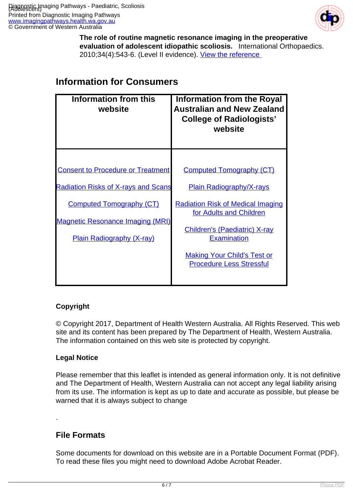

**The role of routine magnetic resonance imaging in the preoperative evaluation of adolescent idiopathic scoliosis.** International Orthopaedics. 2010;34(4):543-6. (Level II evidence). View the reference

| Information from this<br>website            | <b>Information from the Royal</b><br><b>Australian and New Zealand</b><br><b>College of Radiologists'</b><br>website |
|---------------------------------------------|----------------------------------------------------------------------------------------------------------------------|
|                                             |                                                                                                                      |
| <b>Consent to Procedure or Treatment</b>    | <b>Computed Tomography (CT)</b>                                                                                      |
| <u> Radiation Risks of X-rays and Scans</u> | <b>Plain Radiography/X-rays</b>                                                                                      |
| <b>Computed Tomography (CT)</b>             | <b>Radiation Risk of Medical Imaging</b><br>for Adults and Children                                                  |
| <b>Magnetic Resonance Imaging (MRI)</b>     |                                                                                                                      |
| <b>Plain Radiography (X-ray)</b>            | <b>Children's (Paediatric) X-ray</b><br><b>Examination</b>                                                           |
|                                             | <b>Making Your Child's Test or</b><br><b>Procedure Less Stressful</b>                                                |
|                                             |                                                                                                                      |

### **Information for Consumers**

#### **Copyright**

© Copyright 2017, Department of Health Western Australia. All Rights Reserved. This web site and its content has been prepared by The Department of Health, Western Australia. The information contained on this web site is protected by copyright.

#### **Legal Notice**

Please remember that this leaflet is intended as general information only. It is not definitive and The Department of Health, Western Australia can not accept any legal liability arising from its use. The information is kept as up to date and accurate as possible, but please be warned that it is always subject to change

#### **File Formats**

.

Some documents for download on this website are in a Portable Document Format (PDF). To read these files you might need to download Adobe Acrobat Reader.